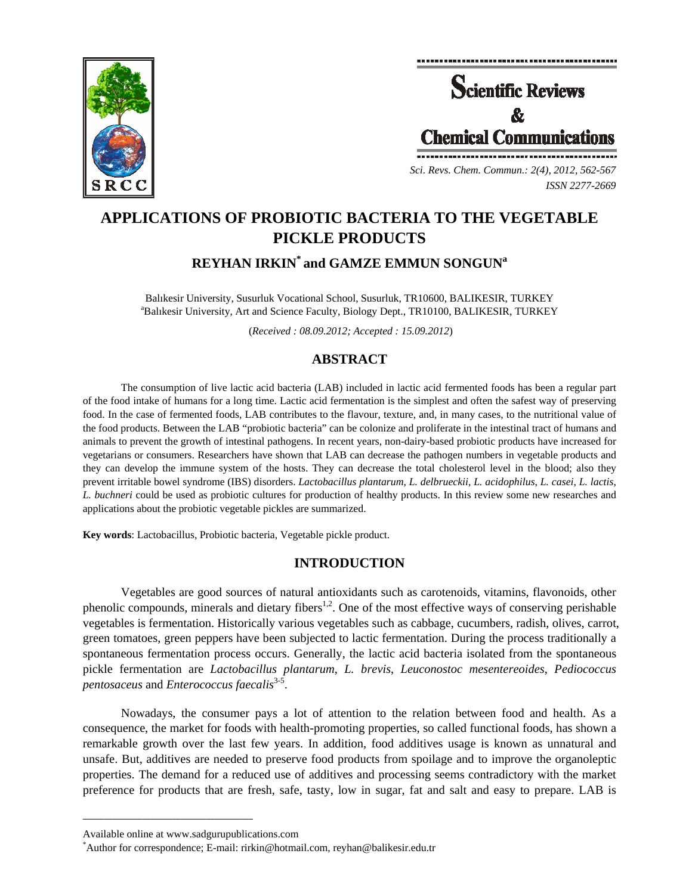



*Sci. Revs. Chem. Commun.: 2(4), 2012, 562-567 ISSN 2277-2669* 

# **APPLICATIONS OF PROBIOTIC BACTERIA TO THE VEGETABLE PICKLE PRODUCTS**

# **REYHAN IRKIN\* and GAMZE EMMUN SONGUNa**

Balıkesir University, Susurluk Vocational School, Susurluk, TR10600, BALIKESIR, TURKEY a <sup>a</sup>Balıkesir University, Art and Science Faculty, Biology Dept., TR10100, BALIKESIR, TURKEY

(*Received : 08.09.2012; Accepted : 15.09.2012*)

# **ABSTRACT**

The consumption of live lactic acid bacteria (LAB) included in lactic acid fermented foods has been a regular part of the food intake of humans for a long time. Lactic acid fermentation is the simplest and often the safest way of preserving food. In the case of fermented foods, LAB contributes to the flavour, texture, and, in many cases, to the nutritional value of the food products. Between the LAB "probiotic bacteria" can be colonize and proliferate in the intestinal tract of humans and animals to prevent the growth of intestinal pathogens. In recent years, non-dairy-based probiotic products have increased for vegetarians or consumers. Researchers have shown that LAB can decrease the pathogen numbers in vegetable products and they can develop the immune system of the hosts. They can decrease the total cholesterol level in the blood; also they prevent irritable bowel syndrome (IBS) disorders. *Lactobacillus plantarum*, *L. delbrueckii*, *L. acidophilus*, *L. casei*, *L. lactis*, *L. buchneri* could be used as probiotic cultures for production of healthy products. In this review some new researches and applications about the probiotic vegetable pickles are summarized.

**Key words**: Lactobacillus, Probiotic bacteria, Vegetable pickle product.

## **INTRODUCTION**

Vegetables are good sources of natural antioxidants such as carotenoids, vitamins, flavonoids, other phenolic compounds, minerals and dietary fibers<sup>1,2</sup>. One of the most effective ways of conserving perishable vegetables is fermentation. Historically various vegetables such as cabbage, cucumbers, radish, olives, carrot, green tomatoes, green peppers have been subjected to lactic fermentation. During the process traditionally a spontaneous fermentation process occurs. Generally, the lactic acid bacteria isolated from the spontaneous pickle fermentation are *Lactobacillus plantarum*, *L. brevis*, *Leuconostoc mesentereoides*, *Pediococcus pentosaceus* and *Enterococcus faecalis*<sup>3-5</sup>.

Nowadays, the consumer pays a lot of attention to the relation between food and health. As a consequence, the market for foods with health-promoting properties, so called functional foods, has shown a remarkable growth over the last few years. In addition, food additives usage is known as unnatural and unsafe. But, additives are needed to preserve food products from spoilage and to improve the organoleptic properties. The demand for a reduced use of additives and processing seems contradictory with the market preference for products that are fresh, safe, tasty, low in sugar, fat and salt and easy to prepare. LAB is

**\_\_\_\_\_\_\_\_\_\_\_\_\_\_\_\_\_\_\_\_\_\_\_\_\_\_\_\_\_\_\_\_\_\_\_\_\_\_\_\_**

Available online at www.sadgurupublications.com \*

Author for correspondence; E-mail: rirkin@hotmail.com, reyhan@balikesir.edu.tr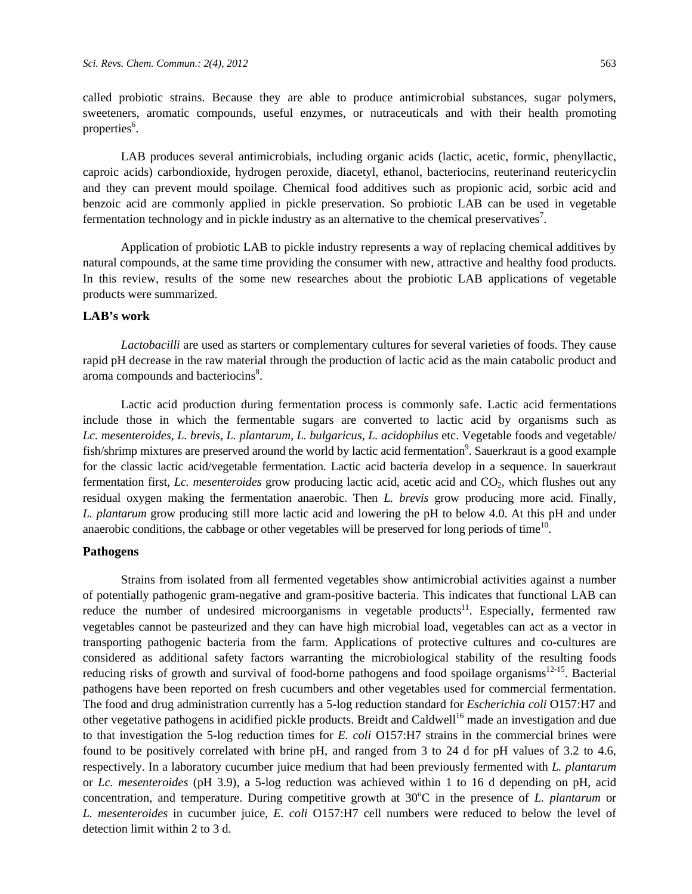called probiotic strains. Because they are able to produce antimicrobial substances, sugar polymers, sweeteners, aromatic compounds, useful enzymes, or nutraceuticals and with their health promoting properties<sup>6</sup>.

LAB produces several antimicrobials, including organic acids (lactic, acetic, formic, phenyllactic, caproic acids) carbondioxide, hydrogen peroxide, diacetyl, ethanol, bacteriocins, reuterinand reutericyclin and they can prevent mould spoilage. Chemical food additives such as propionic acid, sorbic acid and benzoic acid are commonly applied in pickle preservation. So probiotic LAB can be used in vegetable fermentation technology and in pickle industry as an alternative to the chemical preservatives<sup>7</sup>.

Application of probiotic LAB to pickle industry represents a way of replacing chemical additives by natural compounds, at the same time providing the consumer with new, attractive and healthy food products. In this review, results of the some new researches about the probiotic LAB applications of vegetable products were summarized.

### **LAB's work**

*Lactobacilli* are used as starters or complementary cultures for several varieties of foods. They cause rapid pH decrease in the raw material through the production of lactic acid as the main catabolic product and aroma compounds and bacteriocins<sup>8</sup>.

Lactic acid production during fermentation process is commonly safe. Lactic acid fermentations include those in which the fermentable sugars are converted to lactic acid by organisms such as *Lc. mesenteroides, L. brevis, L. plantarum, L. bulgaricus, L. acidophilus* etc. Vegetable foods and vegetable/ fish/shrimp mixtures are preserved around the world by lactic acid fermentation<sup>9</sup>. Sauerkraut is a good example for the classic lactic acid/vegetable fermentation. Lactic acid bacteria develop in a sequence. In sauerkraut fermentation first, *Lc. mesenteroides* grow producing lactic acid, acetic acid and CO<sub>2</sub>, which flushes out any residual oxygen making the fermentation anaerobic. Then *L. brevis* grow producing more acid. Finally, *L. plantarum* grow producing still more lactic acid and lowering the pH to below 4.0. At this pH and under anaerobic conditions, the cabbage or other vegetables will be preserved for long periods of time<sup>10</sup>.

#### **Pathogens**

Strains from isolated from all fermented vegetables show antimicrobial activities against a number of potentially pathogenic gram-negative and gram-positive bacteria. This indicates that functional LAB can reduce the number of undesired microorganisms in vegetable products<sup>11</sup>. Especially, fermented raw vegetables cannot be pasteurized and they can have high microbial load, vegetables can act as a vector in transporting pathogenic bacteria from the farm. Applications of protective cultures and co-cultures are considered as additional safety factors warranting the microbiological stability of the resulting foods reducing risks of growth and survival of food-borne pathogens and food spoilage organisms<sup>12-15</sup>. Bacterial pathogens have been reported on fresh cucumbers and other vegetables used for commercial fermentation. The food and drug administration currently has a 5-log reduction standard for *Escherichia coli* O157:H7 and other vegetative pathogens in acidified pickle products. Breidt and Caldwell<sup>16</sup> made an investigation and due to that investigation the 5-log reduction times for *E. coli* O157:H7 strains in the commercial brines were found to be positively correlated with brine pH, and ranged from 3 to 24 d for pH values of 3.2 to 4.6, respectively. In a laboratory cucumber juice medium that had been previously fermented with *L. plantarum*  or *Lc. mesenteroides* (pH 3.9), a 5-log reduction was achieved within 1 to 16 d depending on pH, acid concentration, and temperature. During competitive growth at 30°C in the presence of *L. plantarum* or *L. mesenteroides* in cucumber juice, *E. coli* O157:H7 cell numbers were reduced to below the level of detection limit within 2 to 3 d.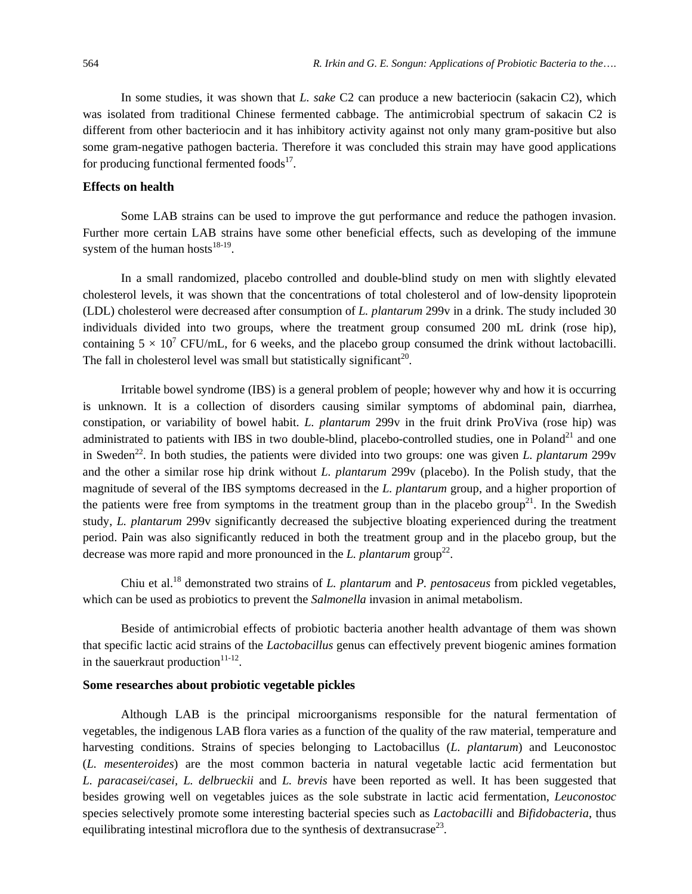In some studies, it was shown that *L. sake* C2 can produce a new bacteriocin (sakacin C2), which was isolated from traditional Chinese fermented cabbage. The antimicrobial spectrum of sakacin C2 is different from other bacteriocin and it has inhibitory activity against not only many gram-positive but also some gram-negative pathogen bacteria. Therefore it was concluded this strain may have good applications for producing functional fermented foods<sup>17</sup>.

#### **Effects on health**

Some LAB strains can be used to improve the gut performance and reduce the pathogen invasion. Further more certain LAB strains have some other beneficial effects, such as developing of the immune system of the human hosts $18-19$ .

In a small randomized, placebo controlled and double-blind study on men with slightly elevated cholesterol levels, it was shown that the concentrations of total cholesterol and of low-density lipoprotein (LDL) cholesterol were decreased after consumption of *L. plantarum* 299v in a drink. The study included 30 individuals divided into two groups, where the treatment group consumed 200 mL drink (rose hip), containing  $5 \times 10^7$  CFU/mL, for 6 weeks, and the placebo group consumed the drink without lactobacilli. The fall in cholesterol level was small but statistically significant<sup>20</sup>.

Irritable bowel syndrome (IBS) is a general problem of people; however why and how it is occurring is unknown. It is a collection of disorders causing similar symptoms of abdominal pain, diarrhea, constipation, or variability of bowel habit. *L. plantarum* 299v in the fruit drink ProViva (rose hip) was administrated to patients with IBS in two double-blind, placebo-controlled studies, one in Poland<sup>21</sup> and one in Sweden<sup>22</sup>. In both studies, the patients were divided into two groups: one was given *L. plantarum* 299v and the other a similar rose hip drink without *L. plantarum* 299v (placebo). In the Polish study, that the magnitude of several of the IBS symptoms decreased in the *L. plantarum* group, and a higher proportion of the patients were free from symptoms in the treatment group than in the placebo group<sup>21</sup>. In the Swedish study, *L. plantarum* 299v significantly decreased the subjective bloating experienced during the treatment period. Pain was also significantly reduced in both the treatment group and in the placebo group, but the decrease was more rapid and more pronounced in the *L. plantarum* group<sup>22</sup>.

Chiu et al.18 demonstrated two strains of *L. plantarum* and *P. pentosaceus* from pickled vegetables, which can be used as probiotics to prevent the *Salmonella* invasion in animal metabolism.

Beside of antimicrobial effects of probiotic bacteria another health advantage of them was shown that specific lactic acid strains of the *Lactobacillus* genus can effectively prevent biogenic amines formation in the sauerkraut production $11-12$ .

#### **Some researches about probiotic vegetable pickles**

Although LAB is the principal microorganisms responsible for the natural fermentation of vegetables, the indigenous LAB flora varies as a function of the quality of the raw material, temperature and harvesting conditions. Strains of species belonging to Lactobacillus (*L. plantarum*) and Leuconostoc (*L. mesenteroides*) are the most common bacteria in natural vegetable lactic acid fermentation but *L. paracasei/casei, L. delbrueckii* and *L. brevis* have been reported as well. It has been suggested that besides growing well on vegetables juices as the sole substrate in lactic acid fermentation, *Leuconostoc*  species selectively promote some interesting bacterial species such as *Lactobacilli* and *Bifidobacteria*, thus equilibrating intestinal microflora due to the synthesis of dextransucrase<sup>23</sup>.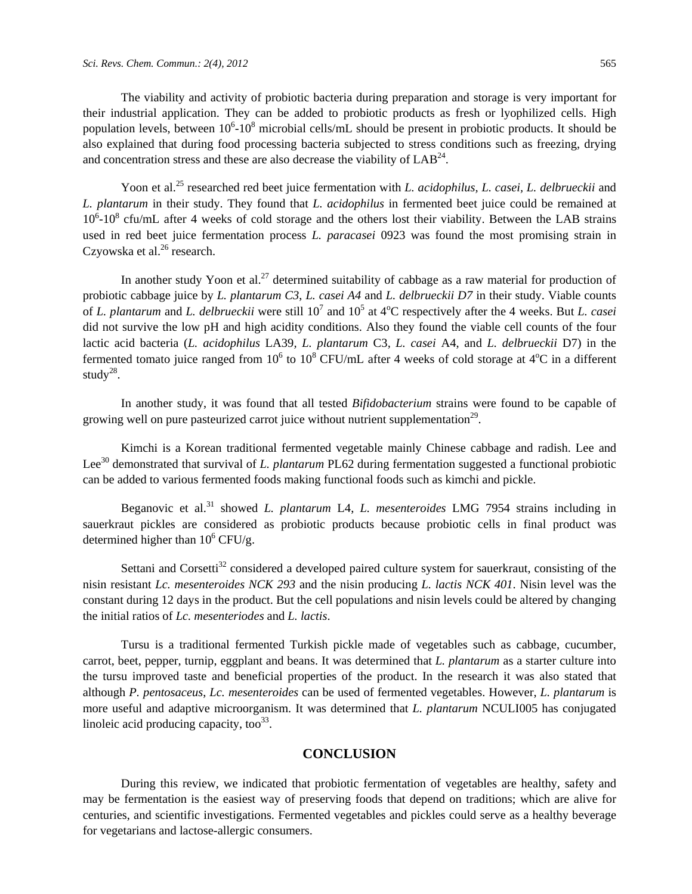The viability and activity of probiotic bacteria during preparation and storage is very important for their industrial application. They can be added to probiotic products as fresh or lyophilized cells. High population levels, between  $10^6$ - $10^8$  microbial cells/mL should be present in probiotic products. It should be also explained that during food processing bacteria subjected to stress conditions such as freezing, drying and concentration stress and these are also decrease the viability of  $LAB^{24}$ .

Yoon et al.<sup>25</sup> researched red beet juice fermentation with *L. acidophilus, L. casei, L. delbrueckii* and *L. plantarum* in their study. They found that *L. acidophilus* in fermented beet juice could be remained at  $10^6$ - $10^8$  cfu/mL after 4 weeks of cold storage and the others lost their viability. Between the LAB strains used in red beet juice fermentation process *L. paracasei* 0923 was found the most promising strain in Czyowska et al. $^{26}$  research.

In another study Yoon et al.<sup>27</sup> determined suitability of cabbage as a raw material for production of probiotic cabbage juice by *L. plantarum C3*, *L. casei A4* and *L. delbrueckii D7* in their study. Viable counts of *L. plantarum* and *L. delbrueckii* were still 10<sup>7</sup> and 10<sup>5</sup> at 4<sup>o</sup>C respectively after the 4 weeks. But *L. casei* did not survive the low pH and high acidity conditions. Also they found the viable cell counts of the four lactic acid bacteria (*L. acidophilus* LA39*, L. plantarum* C3*, L. casei* A4, and *L. delbrueckii* D7) in the fermented tomato juice ranged from  $10^6$  to  $10^8$  CFU/mL after 4 weeks of cold storage at  $4^{\circ}$ C in a different study<sup>28</sup>.

In another study, it was found that all tested *Bifidobacterium* strains were found to be capable of growing well on pure pasteurized carrot juice without nutrient supplementation<sup>29</sup>.

Kimchi is a Korean traditional fermented vegetable mainly Chinese cabbage and radish. Lee and Lee<sup>30</sup> demonstrated that survival of *L. plantarum* PL62 during fermentation suggested a functional probiotic can be added to various fermented foods making functional foods such as kimchi and pickle.

Beganovic et al.<sup>31</sup> showed *L. plantarum* L4, *L. mesenteroides* LMG 7954 strains including in sauerkraut pickles are considered as probiotic products because probiotic cells in final product was determined higher than  $10^6$  CFU/g.

Settani and Corsetti<sup>32</sup> considered a developed paired culture system for sauerkraut, consisting of the nisin resistant *Lc. mesenteroides NCK 293* and the nisin producing *L. lactis NCK 401*. Nisin level was the constant during 12 days in the product. But the cell populations and nisin levels could be altered by changing the initial ratios of *Lc. mesenteriodes* and *L. lactis*.

Tursu is a traditional fermented Turkish pickle made of vegetables such as cabbage, cucumber, carrot, beet, pepper, turnip, eggplant and beans. It was determined that *L. plantarum* as a starter culture into the tursu improved taste and beneficial properties of the product. In the research it was also stated that although *P. pentosaceus*, *Lc. mesenteroides* can be used of fermented vegetables. However, *L. plantarum* is more useful and adaptive microorganism. It was determined that *L. plantarum* NCULI005 has conjugated linoleic acid producing capacity, too<sup>33</sup>.

## **CONCLUSION**

During this review, we indicated that probiotic fermentation of vegetables are healthy, safety and may be fermentation is the easiest way of preserving foods that depend on traditions; which are alive for centuries, and scientific investigations. Fermented vegetables and pickles could serve as a healthy beverage for vegetarians and lactose-allergic consumers.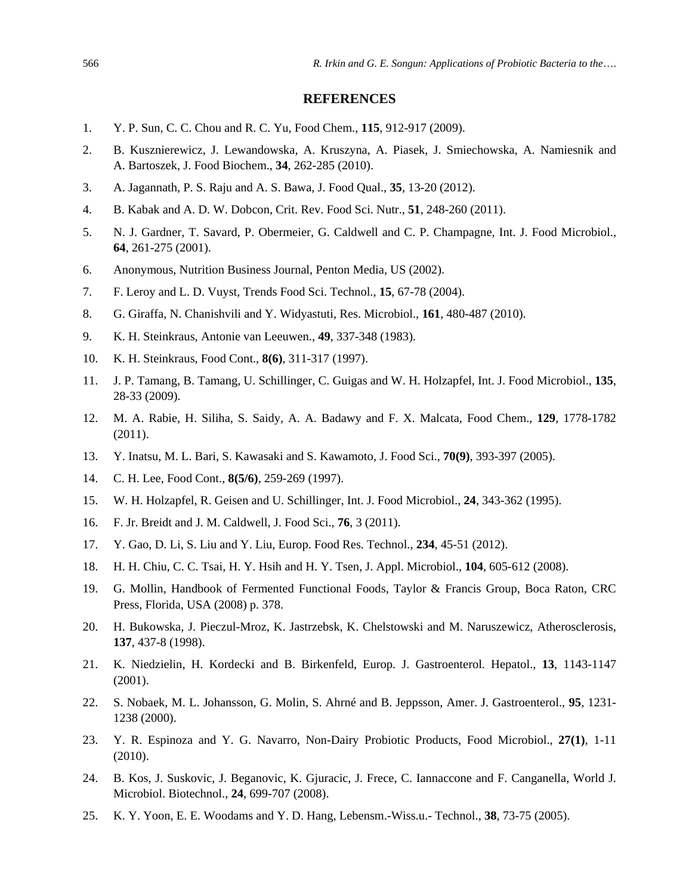#### **REFERENCES**

- 1. Y. P. Sun, C. C. Chou and R. C. Yu, Food Chem., **115**, 912-917 (2009).
- 2. B. Kusznierewicz, J. Lewandowska, A. Kruszyna, A. Piasek, J. Smiechowska, A. Namiesnik and A. Bartoszek, J. Food Biochem., **34**, 262-285 (2010).
- 3. A. Jagannath, P. S. Raju and A. S. Bawa, J. Food Qual., **35**, 13-20 (2012).
- 4. B. Kabak and A. D. W. Dobcon, Crit. Rev. Food Sci. Nutr., **51**, 248-260 (2011).
- 5. N. J. Gardner, T. Savard, P. Obermeier, G. Caldwell and C. P. Champagne, Int. J. Food Microbiol., **64**, 261-275 (2001).
- 6. Anonymous, Nutrition Business Journal, Penton Media, US (2002).
- 7. F. Leroy and L. D. Vuyst, Trends Food Sci. Technol., **15**, 67-78 (2004).
- 8. G. Giraffa, N. Chanishvili and Y. Widyastuti, Res. Microbiol., **161**, 480-487 (2010).
- 9. K. H. Steinkraus, Antonie van Leeuwen., **49**, 337-348 (1983).
- 10. K. H. Steinkraus, Food Cont., **8(6)**, 311-317 (1997).
- 11. J. P. Tamang, B. Tamang, U. Schillinger, C. Guigas and W. H. Holzapfel, Int. J. Food Microbiol., **135**, 28-33 (2009).
- 12. M. A. Rabie, H. Siliha, S. Saidy, A. A. Badawy and F. X. Malcata, Food Chem., **129**, 1778-1782 (2011).
- 13. Y. Inatsu, M. L. Bari, S. Kawasaki and S. Kawamoto, J. Food Sci., **70(9)**, 393-397 (2005).
- 14. C. H. Lee, Food Cont., **8(5/6)**, 259-269 (1997).
- 15. W. H. Holzapfel, R. Geisen and U. Schillinger, Int. J. Food Microbiol., **24**, 343-362 (1995).
- 16. F. Jr. Breidt and J. M. Caldwell, J. Food Sci., **76**, 3 (2011).
- 17. Y. Gao, D. Li, S. Liu and Y. Liu, Europ. Food Res. Technol., **234**, 45-51 (2012).
- 18. H. H. Chiu, C. C. Tsai, H. Y. Hsih and H. Y. Tsen, J. Appl. Microbiol., **104**, 605-612 (2008).
- 19. G. Mollin, Handbook of Fermented Functional Foods, Taylor & Francis Group, Boca Raton, CRC Press, Florida, USA (2008) p. 378.
- 20. H. Bukowska, J. Pieczul-Mroz, K. Jastrzebsk, K. Chelstowski and M. Naruszewicz, Atherosclerosis, **137**, 437-8 (1998).
- 21. K. Niedzielin, H. Kordecki and B. Birkenfeld, Europ. J. Gastroenterol. Hepatol., **13**, 1143-1147 (2001).
- 22. S. Nobaek, M. L. Johansson, G. Molin, S. Ahrné and B. Jeppsson, Amer. J. Gastroenterol., **95**, 1231- 1238 (2000).
- 23. Y. R. Espinoza and Y. G. Navarro, Non-Dairy Probiotic Products, Food Microbiol., **27(1)**, 1-11 (2010).
- 24. B. Kos, J. Suskovic, J. Beganovic, K. Gjuracic, J. Frece, C. Iannaccone and F. Canganella, World J. Microbiol. Biotechnol., **24**, 699-707 (2008).
- 25. K. Y. Yoon, E. E. Woodams and Y. D. Hang, Lebensm.-Wiss.u.- Technol., **38**, 73-75 (2005).